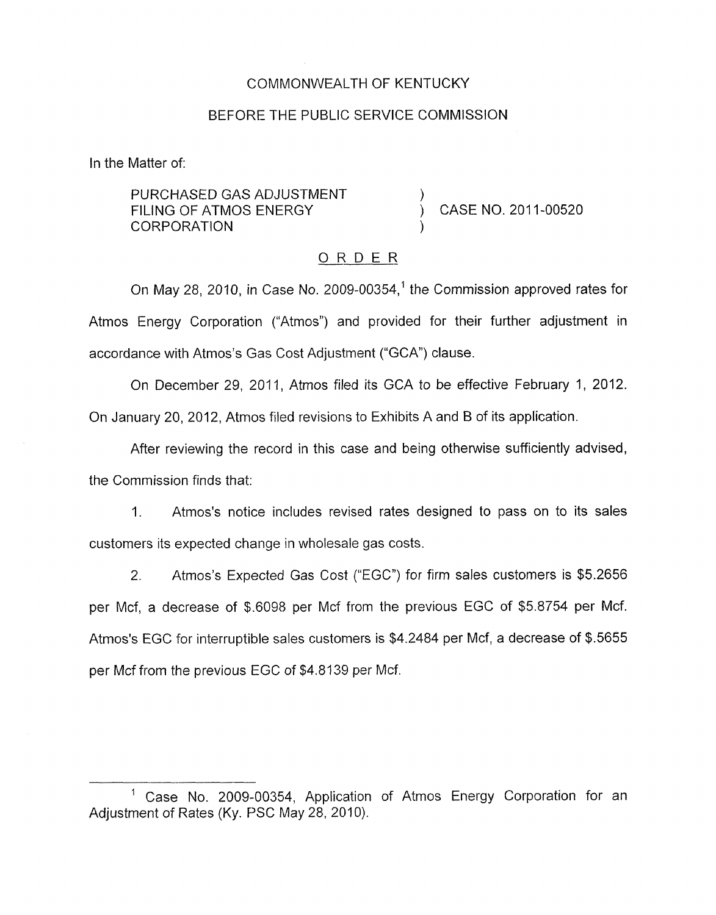### COMMONWEALTH OF KENTUCKY

### BEFORE THE PUBLIC SERVICE COMMISSION

In the Matter of:

PURCHASED GAS ADJUSTMENT<br>FILING OF ATMOS ENERGY **CORPORATION** 

CASE NO. 2011-00520

### ORDER

On May 28, 2010, in Case No. 2009-00354,<sup>1</sup> the Commission approved rates for Atmos Energy Corporation ("Atmos") and provided for their further adjustment in accordance with Atmos's Gas Cost Adjustment ("GCA') clause.

On December 29, 2011, Atmos filed its GCA to be effective February 1, 2012. On January 20, 2012, Atmos filed revisions to Exhibits A and B of its application.

After reviewing the record in this case and being otherwise sufficiently advised, the Commission finds that:

1. Atmos's notice includes revised rates designed to pass on to its sales customers its expected change in wholesale gas costs.

2. Atmos's Expected Gas Cost ("EGC") for firm sales customers is \$5.2656 per Mcf, a decrease of \$.6098 per Mcf from the previous EGC of \$5.8754 per Mcf. Atmos's EGC for interruptible sales customers is \$4.2484 per Mcf, a decrease of \$.5655 per Mcf from the previous EGC of \$4.8139 per Mcf.

<sup>&</sup>lt;sup>1</sup> Case No. 2009-00354, Application of Atmos Energy Corporation for an Adjustment of Rates (Ky. PSC May 28, 2010).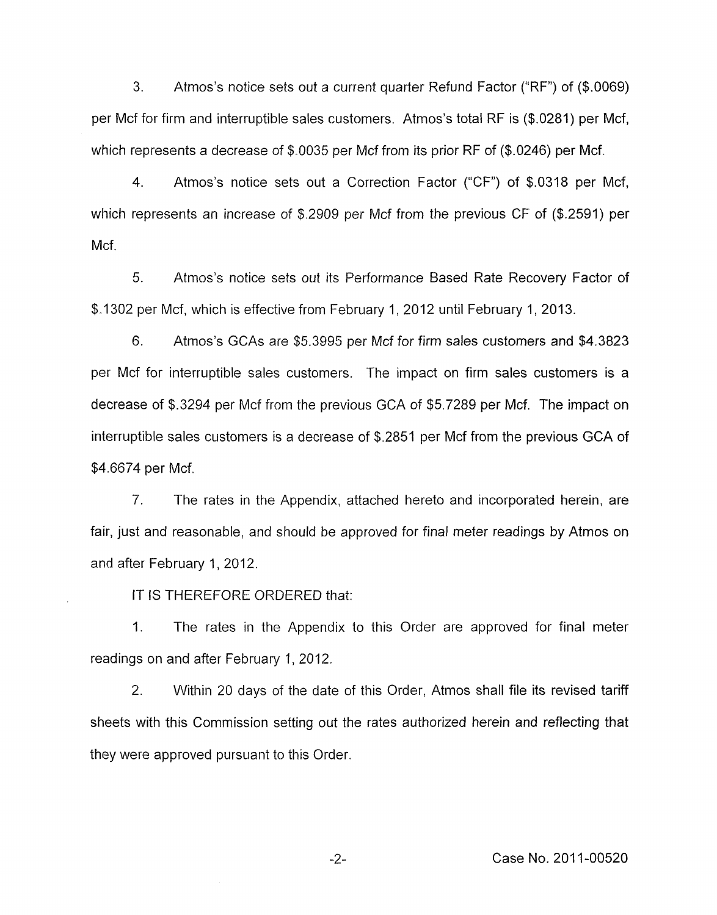3. Atmos's notice sets out a current quarter Refund Factor ("RF") of (\$.0069) per Mcf for firm and interruptible sales customers. Atmos's total RF is (\$.0281) per Mcf, which represents a decrease of \$.0035 per Mcf from its prior RF of (\$.0246) per Mcf.

4. Atmos's notice sets out a Correction Factor ("CF") of \$.0318 per Mcf, which represents an increase of \$.2909 per Mcf from the previous CF of (\$.2591) per Mcf.

*5.* Atmos's notice sets out its Performance Based Rate Recovery Factor of \$.1302 per Mcf, which is effective from February 1, 2012 until February 1, 2013.

6. Atmos's GCAs are \$5.3995 per Mcf for firm sales customers and \$4.3823 per Mcf for interruptible sales customers. The impact on firm sales customers is a decrease of \$.3294 per Mcf from the previous GCA of \$5.7289 per Mcf. The impact on interruptible sales customers is a decrease of \$.2851 per Mcf from the previous GCA of \$4.6674 per Mcf.

7. The rates in the Appendix, attached hereto and incorporated herein, are fair, just and reasonable, and should be approved for final meter readings by Atmos on and after February 1, 2012.

IT IS THEREFORE ORDERED that:

1. The rates in the Appendix to this Order are approved for final meter readings on and after February 1, 2012.

2. Within 20 days of the date of this Order, Atmos shall file its revised tariff sheets with this Commission setting out the rates authorized herein and reflecting that they were approved pursuant to this Order.

-2- Case No. 201 1-00520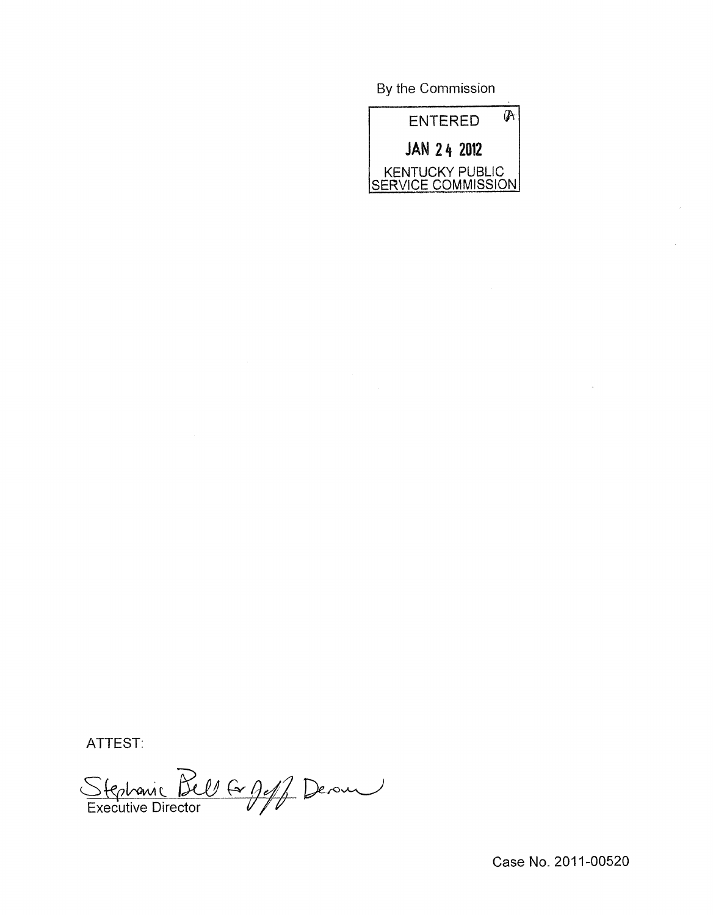By the Commission



ATTEST:

Stephanic Bell & geff Derous

Case No. 2011-00520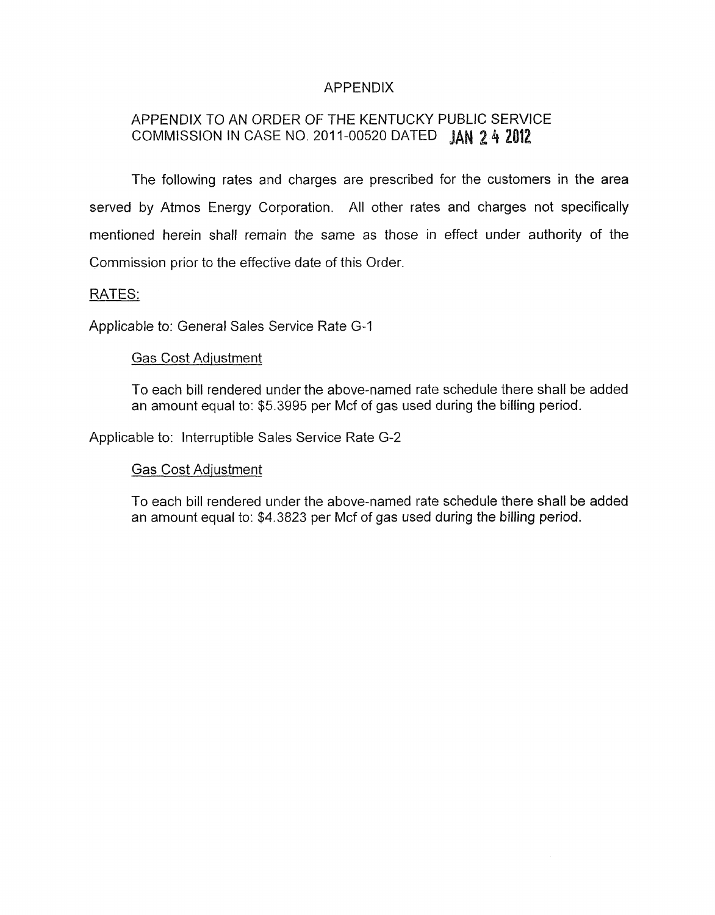# APPENDIX

# APPENDIX TO AN ORDER OF- THE KENTUCKY PUBLIC SERVICE COMMISSION IN CASE NO. 2011-00520 DATED **JAN 2 4 2012**

The following rates and charges are prescribed for the customers in the area served by Atmos Energy Corporation. All other rates and charges not specifically mentioned herein shall remain the same as those in effect under authority of the Commission prior to the effective date of this Order.

### RATES:

Applicable to: General Sales Service Rate G-1

#### Gas Cost Adjustment

To each bill rendered under the above-named rate schedule there shall be added an amount equal to: \$5.3995 per Mcf of gas used during the billing period.

Applicable to: Interruptible Sales Service Rate G-2

### Gas Cost Adjustment

To each bill rendered under the above-named rate schedule there shall be added an amount equal to: \$4.3823 per Mcf of gas used during the billing period.